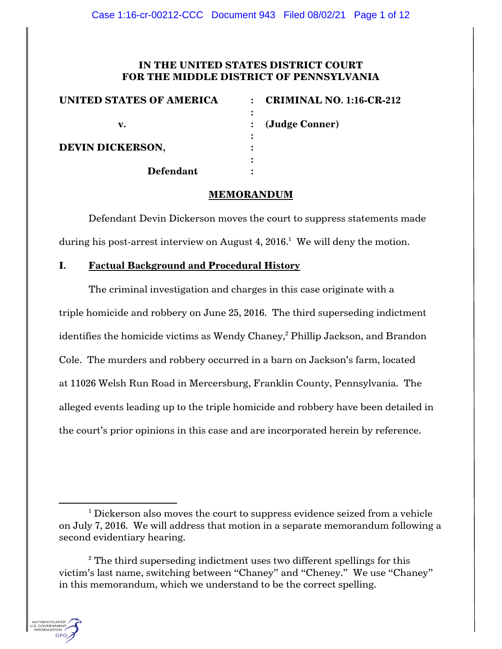## **IN THE UNITED STATES DISTRICT COURT FOR THE MIDDLE DISTRICT OF PENNSYLVANIA**

| <b>UNITED STATES OF AMERICA</b> | <b>CRIMINAL NO. 1:16-CR-212</b><br>$\bullet$ |
|---------------------------------|----------------------------------------------|
|                                 |                                              |
| v.                              | (Judge Conner)                               |
|                                 |                                              |
| <b>DEVIN DICKERSON,</b>         |                                              |
|                                 |                                              |
| <b>Defendant</b>                |                                              |

### **MEMORANDUM**

Defendant Devin Dickerson moves the court to suppress statements made during his post-arrest interview on August  $4, 2016$ . $^1$  We will deny the motion.

# **I. Factual Background and Procedural History**

The criminal investigation and charges in this case originate with a triple homicide and robbery on June 25, 2016. The third superseding indictment identifies the homicide victims as Wendy Chaney,<sup>2</sup> Phillip Jackson, and Brandon Cole. The murders and robbery occurred in a barn on Jackson's farm, located at 11026 Welsh Run Road in Mercersburg, Franklin County, Pennsylvania. The alleged events leading up to the triple homicide and robbery have been detailed in the court's prior opinions in this case and are incorporated herein by reference.

<sup>&</sup>lt;sup>2</sup> The third superseding indictment uses two different spellings for this victim's last name, switching between "Chaney" and "Cheney." We use "Chaney" in this memorandum, which we understand to be the correct spelling.



 $1$  Dickerson also moves the court to suppress evidence seized from a vehicle on July 7, 2016. We will address that motion in a separate memorandum following a second evidentiary hearing.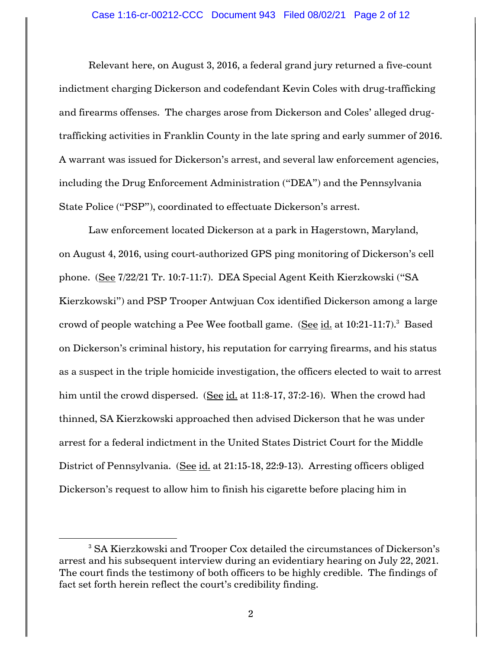Relevant here, on August 3, 2016, a federal grand jury returned a five-count indictment charging Dickerson and codefendant Kevin Coles with drug-trafficking and firearms offenses. The charges arose from Dickerson and Coles' alleged drugtrafficking activities in Franklin County in the late spring and early summer of 2016. A warrant was issued for Dickerson's arrest, and several law enforcement agencies, including the Drug Enforcement Administration ("DEA") and the Pennsylvania State Police ("PSP"), coordinated to effectuate Dickerson's arrest.

Law enforcement located Dickerson at a park in Hagerstown, Maryland, on August 4, 2016, using court-authorized GPS ping monitoring of Dickerson's cell phone. (See 7/22/21 Tr. 10:7-11:7). DEA Special Agent Keith Kierzkowski ("SA Kierzkowski") and PSP Trooper Antwjuan Cox identified Dickerson among a large crowd of people watching a Pee Wee football game. (See id. at  $10:21-11:7$ ).<sup>3</sup> Based on Dickerson's criminal history, his reputation for carrying firearms, and his status as a suspect in the triple homicide investigation, the officers elected to wait to arrest him until the crowd dispersed. (See id. at 11:8-17, 37:2-16). When the crowd had thinned, SA Kierzkowski approached then advised Dickerson that he was under arrest for a federal indictment in the United States District Court for the Middle District of Pennsylvania. (See id. at 21:15-18, 22:9-13). Arresting officers obliged Dickerson's request to allow him to finish his cigarette before placing him in

<sup>3</sup> SA Kierzkowski and Trooper Cox detailed the circumstances of Dickerson's arrest and his subsequent interview during an evidentiary hearing on July 22, 2021. The court finds the testimony of both officers to be highly credible. The findings of fact set forth herein reflect the court's credibility finding.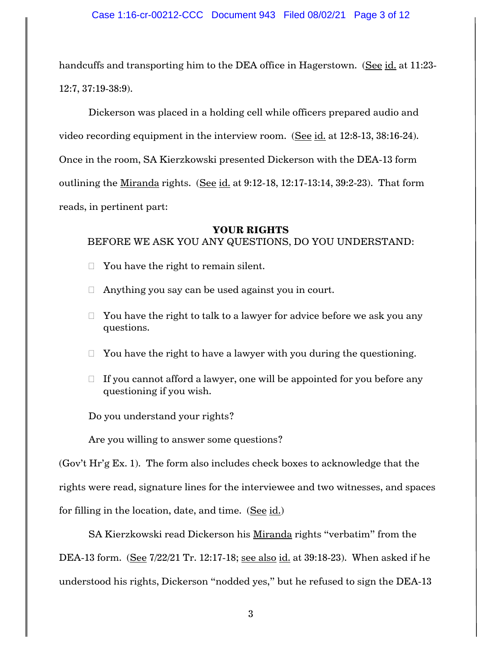handcuffs and transporting him to the DEA office in Hagerstown. (See id. at 11:23- 12:7, 37:19-38:9).

Dickerson was placed in a holding cell while officers prepared audio and video recording equipment in the interview room. (See id. at 12:8-13, 38:16-24). Once in the room, SA Kierzkowski presented Dickerson with the DEA-13 form outlining the Miranda rights. (See id. at 9:12-18, 12:17-13:14, 39:2-23). That form reads, in pertinent part:

#### **YOUR RIGHTS**

### BEFORE WE ASK YOU ANY QUESTIONS, DO YOU UNDERSTAND:

- $\Box$  You have the right to remain silent.
- $\Box$  Anything you say can be used against you in court.
- $\Box$  You have the right to talk to a lawyer for advice before we ask you any questions.
- $\Box$  You have the right to have a lawyer with you during the questioning.
- $\Box$  If you cannot afford a lawyer, one will be appointed for you before any questioning if you wish.

Do you understand your rights?

Are you willing to answer some questions?

(Gov't Hr'g Ex. 1). The form also includes check boxes to acknowledge that the rights were read, signature lines for the interviewee and two witnesses, and spaces for filling in the location, date, and time. (See id.)

SA Kierzkowski read Dickerson his Miranda rights "verbatim" from the DEA-13 form. (See 7/22/21 Tr. 12:17-18; <u>see also id.</u> at 39:18-23). When asked if he understood his rights, Dickerson "nodded yes," but he refused to sign the DEA-13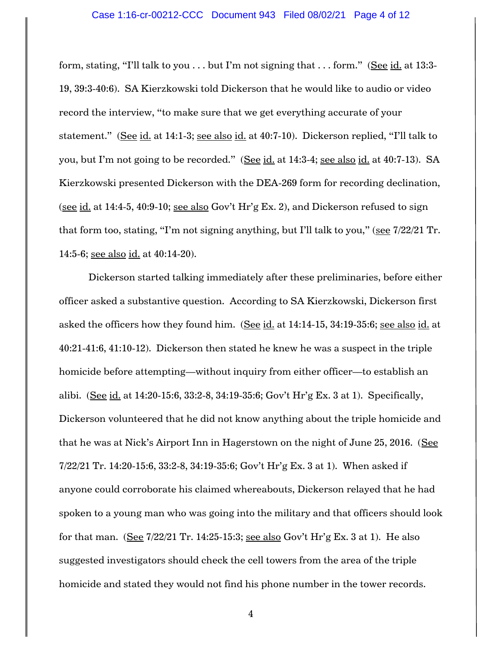#### Case 1:16-cr-00212-CCC Document 943 Filed 08/02/21 Page 4 of 12

form, stating, "I'll talk to you . . . but I'm not signing that . . . form." (See id. at 13:3- 19, 39:3-40:6). SA Kierzkowski told Dickerson that he would like to audio or video record the interview, "to make sure that we get everything accurate of your statement." (See id. at 14:1-3; see also id. at 40:7-10). Dickerson replied, "I'll talk to you, but I'm not going to be recorded." (See id. at 14:3-4; see also id. at 40:7-13). SA Kierzkowski presented Dickerson with the DEA-269 form for recording declination, (see id. at 14:4-5, 40:9-10; see also Gov't Hr'g Ex. 2), and Dickerson refused to sign that form too, stating, "I'm not signing anything, but I'll talk to you," (see 7/22/21 Tr. 14:5-6; see also id. at 40:14-20).

Dickerson started talking immediately after these preliminaries, before either officer asked a substantive question. According to SA Kierzkowski, Dickerson first asked the officers how they found him. (See id. at 14:14-15, 34:19-35:6; see also id. at 40:21-41:6, 41:10-12). Dickerson then stated he knew he was a suspect in the triple homicide before attempting—without inquiry from either officer—to establish an alibi. (See id. at 14:20-15:6, 33:2-8, 34:19-35:6; Gov't Hr'g Ex. 3 at 1). Specifically, Dickerson volunteered that he did not know anything about the triple homicide and that he was at Nick's Airport Inn in Hagerstown on the night of June 25, 2016. (See 7/22/21 Tr. 14:20-15:6, 33:2-8, 34:19-35:6; Gov't Hr'g Ex. 3 at 1). When asked if anyone could corroborate his claimed whereabouts, Dickerson relayed that he had spoken to a young man who was going into the military and that officers should look for that man. (See 7/22/21 Tr. 14:25-15:3; see also Gov't Hr'g Ex. 3 at 1). He also suggested investigators should check the cell towers from the area of the triple homicide and stated they would not find his phone number in the tower records.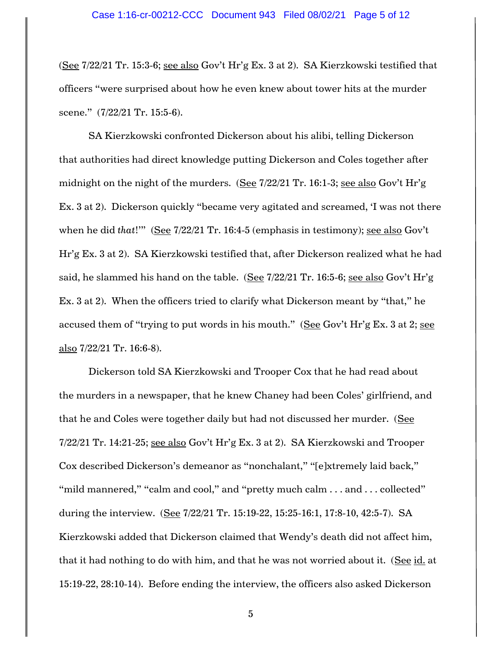(See 7/22/21 Tr. 15:3-6; see also Gov't Hr'g Ex. 3 at 2). SA Kierzkowski testified that officers "were surprised about how he even knew about tower hits at the murder scene." (7/22/21 Tr. 15:5-6).

SA Kierzkowski confronted Dickerson about his alibi, telling Dickerson that authorities had direct knowledge putting Dickerson and Coles together after midnight on the night of the murders. (See 7/22/21 Tr. 16:1-3; see also Gov't Hr'g Ex. 3 at 2). Dickerson quickly "became very agitated and screamed, 'I was not there when he did *that*!'" (See 7/22/21 Tr. 16:4-5 (emphasis in testimony); see also Gov't Hr'g Ex. 3 at 2). SA Kierzkowski testified that, after Dickerson realized what he had said, he slammed his hand on the table. (See  $7/22/21$  Tr. 16:5-6; see also Gov't Hr'g Ex. 3 at 2). When the officers tried to clarify what Dickerson meant by "that," he accused them of "trying to put words in his mouth." (See Gov't Hr'g Ex. 3 at 2; see also 7/22/21 Tr. 16:6-8).

Dickerson told SA Kierzkowski and Trooper Cox that he had read about the murders in a newspaper, that he knew Chaney had been Coles' girlfriend, and that he and Coles were together daily but had not discussed her murder. (See 7/22/21 Tr. 14:21-25; see also Gov't Hr'g Ex. 3 at 2). SA Kierzkowski and Trooper Cox described Dickerson's demeanor as "nonchalant," "[e]xtremely laid back," "mild mannered," "calm and cool," and "pretty much calm . . . and . . . collected" during the interview. (See 7/22/21 Tr. 15:19-22, 15:25-16:1, 17:8-10, 42:5-7). SA Kierzkowski added that Dickerson claimed that Wendy's death did not affect him, that it had nothing to do with him, and that he was not worried about it. (See id. at 15:19-22, 28:10-14). Before ending the interview, the officers also asked Dickerson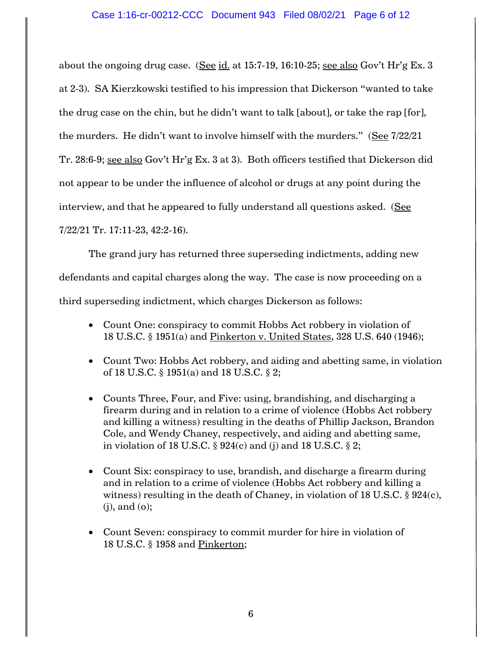about the ongoing drug case. (See id. at 15:7-19, 16:10-25; see also Gov't Hr'g Ex. 3 at 2-3). SA Kierzkowski testified to his impression that Dickerson "wanted to take the drug case on the chin, but he didn't want to talk [about], or take the rap [for], the murders. He didn't want to involve himself with the murders." (See 7/22/21 Tr. 28:6-9; see also Gov't Hr'g Ex. 3 at 3). Both officers testified that Dickerson did not appear to be under the influence of alcohol or drugs at any point during the interview, and that he appeared to fully understand all questions asked. (See 7/22/21 Tr. 17:11-23, 42:2-16).

The grand jury has returned three superseding indictments, adding new defendants and capital charges along the way. The case is now proceeding on a third superseding indictment, which charges Dickerson as follows:

- Count One: conspiracy to commit Hobbs Act robbery in violation of 18 U.S.C. § 1951(a) and Pinkerton v. United States, 328 U.S. 640 (1946);
- Count Two: Hobbs Act robbery, and aiding and abetting same, in violation of 18 U.S.C. § 1951(a) and 18 U.S.C. § 2;
- Counts Three, Four, and Five: using, brandishing, and discharging a firearm during and in relation to a crime of violence (Hobbs Act robbery and killing a witness) resulting in the deaths of Phillip Jackson, Brandon Cole, and Wendy Chaney, respectively, and aiding and abetting same, in violation of 18 U.S.C.  $\S$  924(c) and (j) and 18 U.S.C.  $\S$  2;
- Count Six: conspiracy to use, brandish, and discharge a firearm during and in relation to a crime of violence (Hobbs Act robbery and killing a witness) resulting in the death of Chaney, in violation of 18 U.S.C.  $\S$  924(c), (j), and (o);
- Count Seven: conspiracy to commit murder for hire in violation of 18 U.S.C. § 1958 and Pinkerton;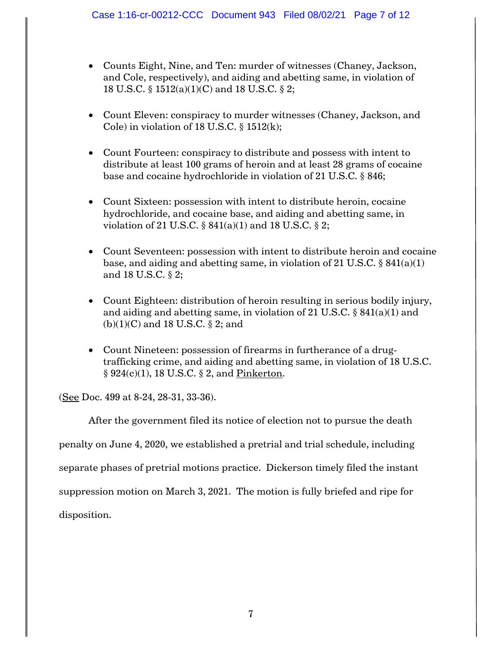- Counts Eight, Nine, and Ten: murder of witnesses (Chaney, Jackson, and Cole, respectively), and aiding and abetting same, in violation of 18 U.S.C. § 1512(a)(1)(C) and 18 U.S.C. § 2;
- Count Eleven: conspiracy to murder witnesses (Chaney, Jackson, and Cole) in violation of 18 U.S.C.  $\S$  1512(k);
- Count Fourteen: conspiracy to distribute and possess with intent to distribute at least 100 grams of heroin and at least 28 grams of cocaine base and cocaine hydrochloride in violation of 21 U.S.C. § 846;
- Count Sixteen: possession with intent to distribute heroin, cocaine hydrochloride, and cocaine base, and aiding and abetting same, in violation of 21 U.S.C. § 841(a)(1) and 18 U.S.C. § 2;
- Count Seventeen: possession with intent to distribute heroin and cocaine base, and aiding and abetting same, in violation of 21 U.S.C.  $\S 841(a)(1)$ and 18 U.S.C. § 2;
- Count Eighteen: distribution of heroin resulting in serious bodily injury, and aiding and abetting same, in violation of 21 U.S.C. § 841(a)(1) and (b)(1)(C) and 18 U.S.C. § 2; and
- Count Nineteen: possession of firearms in furtherance of a drugtrafficking crime, and aiding and abetting same, in violation of 18 U.S.C. § 924(c)(1), 18 U.S.C. § 2, and Pinkerton.

(See Doc. 499 at 8-24, 28-31, 33-36).

After the government filed its notice of election not to pursue the death penalty on June 4, 2020, we established a pretrial and trial schedule, including separate phases of pretrial motions practice. Dickerson timely filed the instant suppression motion on March 3, 2021. The motion is fully briefed and ripe for disposition.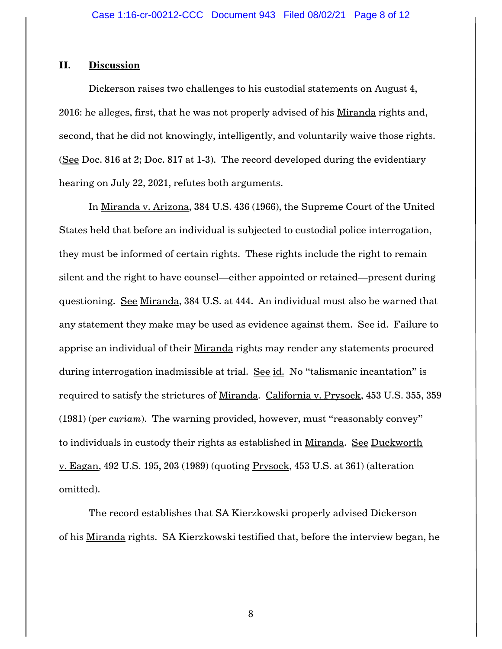#### **II. Discussion**

Dickerson raises two challenges to his custodial statements on August 4, 2016: he alleges, first, that he was not properly advised of his Miranda rights and, second, that he did not knowingly, intelligently, and voluntarily waive those rights. (See Doc. 816 at 2; Doc. 817 at 1-3). The record developed during the evidentiary hearing on July 22, 2021, refutes both arguments.

In Miranda v. Arizona, 384 U.S. 436 (1966), the Supreme Court of the United States held that before an individual is subjected to custodial police interrogation, they must be informed of certain rights. These rights include the right to remain silent and the right to have counsel—either appointed or retained—present during questioning. See Miranda, 384 U.S. at 444. An individual must also be warned that any statement they make may be used as evidence against them. See id. Failure to apprise an individual of their Miranda rights may render any statements procured during interrogation inadmissible at trial. See id. No "talismanic incantation" is required to satisfy the strictures of Miranda. California v. Prysock, 453 U.S. 355, 359 (1981) (*per curiam*). The warning provided, however, must "reasonably convey" to individuals in custody their rights as established in Miranda. See Duckworth v. Eagan, 492 U.S. 195, 203 (1989) (quoting Prysock, 453 U.S. at 361) (alteration omitted).

The record establishes that SA Kierzkowski properly advised Dickerson of his Miranda rights. SA Kierzkowski testified that, before the interview began, he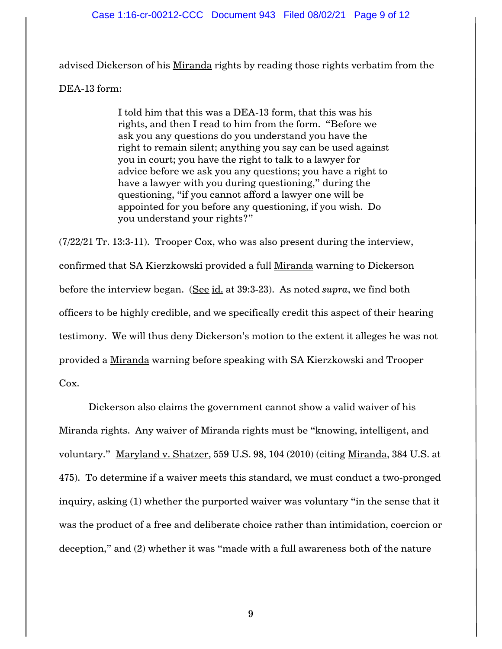#### Case 1:16-cr-00212-CCC Document 943 Filed 08/02/21 Page 9 of 12

advised Dickerson of his Miranda rights by reading those rights verbatim from the DEA-13 form:

> I told him that this was a DEA-13 form, that this was his rights, and then I read to him from the form. "Before we ask you any questions do you understand you have the right to remain silent; anything you say can be used against you in court; you have the right to talk to a lawyer for advice before we ask you any questions; you have a right to have a lawyer with you during questioning," during the questioning, "if you cannot afford a lawyer one will be appointed for you before any questioning, if you wish. Do you understand your rights?"

(7/22/21 Tr. 13:3-11). Trooper Cox, who was also present during the interview, confirmed that SA Kierzkowski provided a full Miranda warning to Dickerson before the interview began. (See id. at 39:3-23). As noted *supra*, we find both officers to be highly credible, and we specifically credit this aspect of their hearing testimony. We will thus deny Dickerson's motion to the extent it alleges he was not provided a Miranda warning before speaking with SA Kierzkowski and Trooper Cox.

Dickerson also claims the government cannot show a valid waiver of his Miranda rights. Any waiver of Miranda rights must be "knowing, intelligent, and voluntary." Maryland v. Shatzer, 559 U.S. 98, 104 (2010) (citing Miranda, 384 U.S. at 475). To determine if a waiver meets this standard, we must conduct a two-pronged inquiry, asking (1) whether the purported waiver was voluntary "in the sense that it was the product of a free and deliberate choice rather than intimidation, coercion or deception," and (2) whether it was "made with a full awareness both of the nature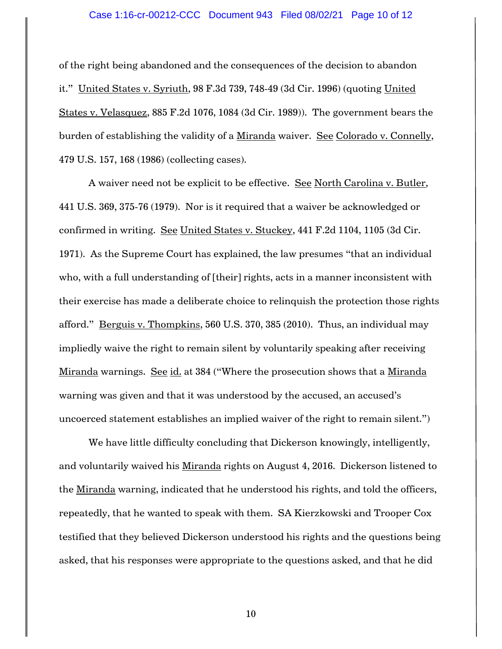of the right being abandoned and the consequences of the decision to abandon it." United States v. Syriuth, 98 F.3d 739, 748-49 (3d Cir. 1996) (quoting United States v. Velasquez, 885 F.2d 1076, 1084 (3d Cir. 1989)). The government bears the burden of establishing the validity of a Miranda waiver. See Colorado v. Connelly, 479 U.S. 157, 168 (1986) (collecting cases).

A waiver need not be explicit to be effective. See North Carolina v. Butler, 441 U.S. 369, 375-76 (1979). Nor is it required that a waiver be acknowledged or confirmed in writing. See United States v. Stuckey, 441 F.2d 1104, 1105 (3d Cir. 1971). As the Supreme Court has explained, the law presumes "that an individual who, with a full understanding of [their] rights, acts in a manner inconsistent with their exercise has made a deliberate choice to relinquish the protection those rights afford." Berguis v. Thompkins, 560 U.S. 370, 385 (2010). Thus, an individual may impliedly waive the right to remain silent by voluntarily speaking after receiving Miranda warnings. See id. at 384 ("Where the prosecution shows that a Miranda warning was given and that it was understood by the accused, an accused's uncoerced statement establishes an implied waiver of the right to remain silent.")

We have little difficulty concluding that Dickerson knowingly, intelligently, and voluntarily waived his Miranda rights on August 4, 2016. Dickerson listened to the Miranda warning, indicated that he understood his rights, and told the officers, repeatedly, that he wanted to speak with them. SA Kierzkowski and Trooper Cox testified that they believed Dickerson understood his rights and the questions being asked, that his responses were appropriate to the questions asked, and that he did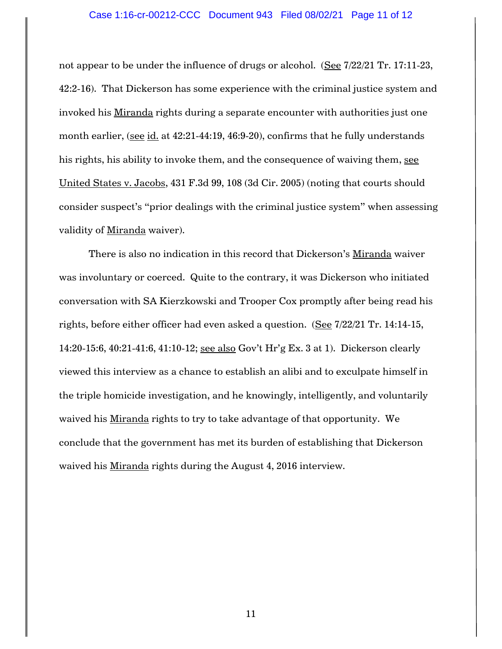not appear to be under the influence of drugs or alcohol. (See 7/22/21 Tr. 17:11-23, 42:2-16). That Dickerson has some experience with the criminal justice system and invoked his Miranda rights during a separate encounter with authorities just one month earlier, (see id. at 42:21-44:19, 46:9-20), confirms that he fully understands his rights, his ability to invoke them, and the consequence of waiving them, see United States v. Jacobs, 431 F.3d 99, 108 (3d Cir. 2005) (noting that courts should consider suspect's "prior dealings with the criminal justice system" when assessing validity of Miranda waiver).

There is also no indication in this record that Dickerson's Miranda waiver was involuntary or coerced. Quite to the contrary, it was Dickerson who initiated conversation with SA Kierzkowski and Trooper Cox promptly after being read his rights, before either officer had even asked a question. (See 7/22/21 Tr. 14:14-15, 14:20-15:6, 40:21-41:6, 41:10-12; see also Gov't Hr'g Ex. 3 at 1). Dickerson clearly viewed this interview as a chance to establish an alibi and to exculpate himself in the triple homicide investigation, and he knowingly, intelligently, and voluntarily waived his Miranda rights to try to take advantage of that opportunity. We conclude that the government has met its burden of establishing that Dickerson waived his Miranda rights during the August 4, 2016 interview.